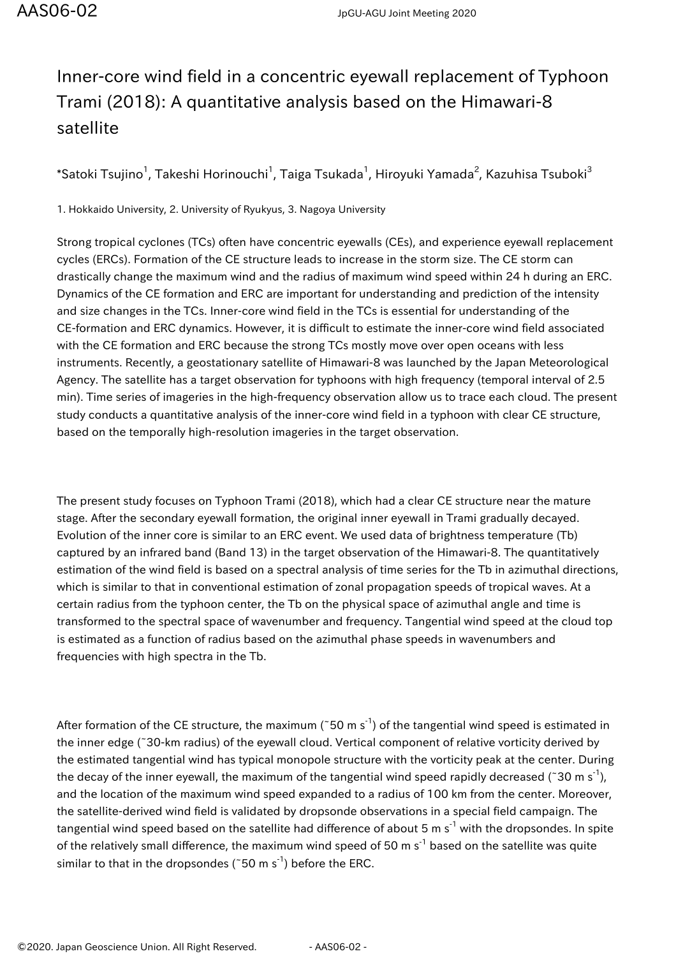## Inner-core wind field in a concentric eyewall replacement of Typhoon Trami (2018): A quantitative analysis based on the Himawari-8 satellite

 $\,$ \*Satoki Tsujino $^1$ , Takeshi Horinouchi $^1$ , Taiga Tsukada $^1$ , Hiroyuki Yamada $^2$ , Kazuhisa Tsuboki $^3$ 

1. Hokkaido University, 2. University of Ryukyus, 3. Nagoya University

Strong tropical cyclones (TCs) often have concentric eyewalls (CEs), and experience eyewall replacement cycles (ERCs). Formation of the CE structure leads to increase in the storm size. The CE storm can drastically change the maximum wind and the radius of maximum wind speed within 24 h during an ERC. Dynamics of the CE formation and ERC are important for understanding and prediction of the intensity and size changes in the TCs. Inner-core wind field in the TCs is essential for understanding of the CE-formation and ERC dynamics. However, it is difficult to estimate the inner-core wind field associated with the CE formation and ERC because the strong TCs mostly move over open oceans with less instruments. Recently, a geostationary satellite of Himawari-8 was launched by the Japan Meteorological Agency. The satellite has a target observation for typhoons with high frequency (temporal interval of 2.5 min). Time series of imageries in the high-frequency observation allow us to trace each cloud. The present study conducts a quantitative analysis of the inner-core wind field in a typhoon with clear CE structure, based on the temporally high-resolution imageries in the target observation.

The present study focuses on Typhoon Trami (2018), which had a clear CE structure near the mature stage. After the secondary eyewall formation, the original inner eyewall in Trami gradually decayed. Evolution of the inner core is similar to an ERC event. We used data of brightness temperature (Tb) captured by an infrared band (Band 13) in the target observation of the Himawari-8. The quantitatively estimation of the wind field is based on a spectral analysis of time series for the Tb in azimuthal directions, which is similar to that in conventional estimation of zonal propagation speeds of tropical waves. At a certain radius from the typhoon center, the Tb on the physical space of azimuthal angle and time is transformed to the spectral space of wavenumber and frequency. Tangential wind speed at the cloud top is estimated as a function of radius based on the azimuthal phase speeds in wavenumbers and frequencies with high spectra in the Tb.

After formation of the CE structure, the maximum (~50 m s<sup>-1</sup>) of the tangential wind speed is estimated in the inner edge (~30-km radius) of the eyewall cloud. Vertical component of relative vorticity derived by the estimated tangential wind has typical monopole structure with the vorticity peak at the center. During the decay of the inner eyewall, the maximum of the tangential wind speed rapidly decreased (~30 m s<sup>-1</sup>), and the location of the maximum wind speed expanded to a radius of 100 km from the center. Moreover, the satellite-derived wind field is validated by dropsonde observations in a special field campaign. The tangential wind speed based on the satellite had difference of about 5 m s<sup>-1</sup> with the dropsondes. In spite of the relatively small difference, the maximum wind speed of 50 m  $s^{-1}$  based on the satellite was quite similar to that in the dropsondes ( $50 \text{ m s}^{-1}$ ) before the ERC.